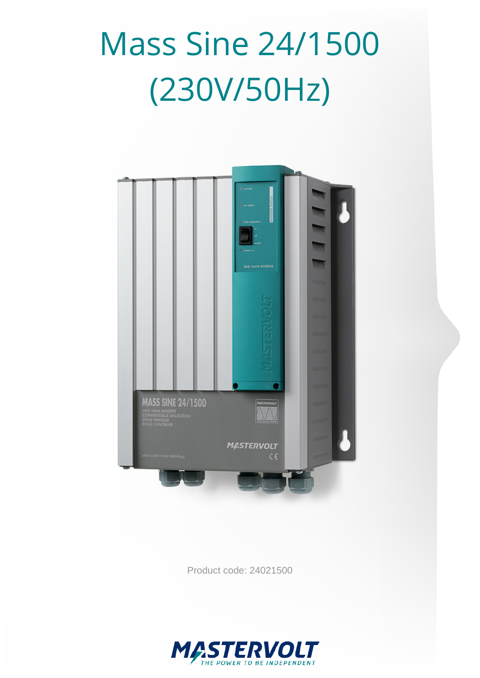# Mass Sine 24/1500 (230V/50Hz)



Product code: 24021500

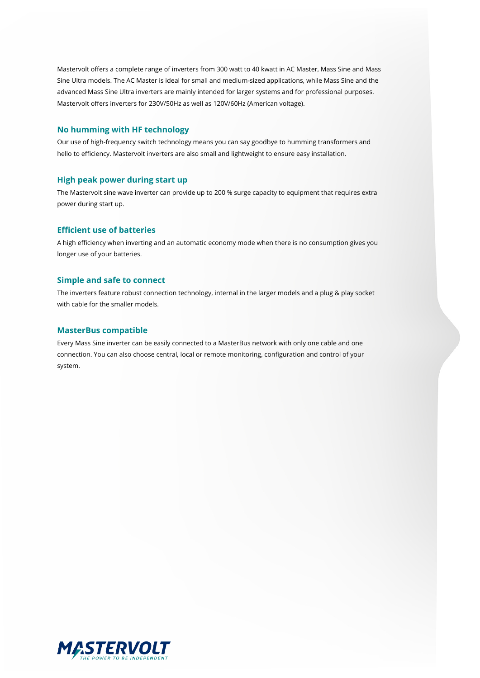Mastervolt offers a complete range of inverters from 300 watt to 40 kwatt in AC Master, Mass Sine and Mass Sine Ultra models. The AC Master is ideal for small and medium-sized applications, while Mass Sine and the advanced Mass Sine Ultra inverters are mainly intended for larger systems and for professional purposes. Mastervolt offers inverters for 230V/50Hz as well as 120V/60Hz (American voltage).

#### **No humming with HF technology**

Our use of high-frequency switch technology means you can say goodbye to humming transformers and hello to efficiency. Mastervolt inverters are also small and lightweight to ensure easy installation.

#### **High peak power during start up**

The Mastervolt sine wave inverter can provide up to 200 % surge capacity to equipment that requires extra power during start up.

#### **Efficient use of batteries**

A high efficiency when inverting and an automatic economy mode when there is no consumption gives you longer use of your batteries.

#### **Simple and safe to connect**

The inverters feature robust connection technology, internal in the larger models and a plug & play socket with cable for the smaller models.

#### **MasterBus compatible**

Every Mass Sine inverter can be easily connected to a MasterBus network with only one cable and one connection. You can also choose central, local or remote monitoring, configuration and control of your system.

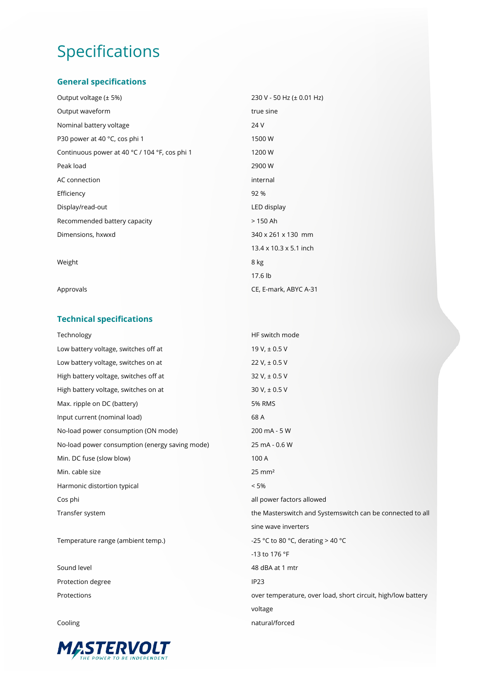# Specifications

## **General specifications**

| Output voltage $(\pm 5\%)$                    | 230 V - 50 Hz (± 0.01 Hz)          |
|-----------------------------------------------|------------------------------------|
| Output waveform                               | true sine                          |
| Nominal battery voltage                       | 24 V                               |
| P30 power at 40 °C, cos phi 1                 | 1500W                              |
| Continuous power at 40 °C / 104 °F, cos phi 1 | 1200 W                             |
| Peak load                                     | 2900W                              |
| AC connection                                 | internal                           |
| Efficiency                                    | 92 %                               |
| Display/read-out                              | LED display                        |
| Recommended battery capacity                  | $>150$ Ah                          |
| Dimensions, hxwxd                             | 340 x 261 x 130 mm                 |
|                                               | $13.4 \times 10.3 \times 5.1$ inch |
| Weight                                        | 8 kg                               |
|                                               | 17.6 lb                            |
| Approvals                                     | CE, E-mark, ABYC A-31              |

## **Technical specifications**

| Technology                                     | HF switch mode                                               |
|------------------------------------------------|--------------------------------------------------------------|
| Low battery voltage, switches off at           | 19 V, $\pm$ 0.5 V                                            |
| Low battery voltage, switches on at            | 22 V, $\pm$ 0.5 V                                            |
| High battery voltage, switches off at          | 32 V, ± 0.5 V                                                |
| High battery voltage, switches on at           | $30 V, \pm 0.5 V$                                            |
| Max. ripple on DC (battery)                    | <b>5% RMS</b>                                                |
| Input current (nominal load)                   | 68 A                                                         |
| No-load power consumption (ON mode)            | 200 mA - 5 W                                                 |
| No-load power consumption (energy saving mode) | 25 mA - 0.6 W                                                |
| Min. DC fuse (slow blow)                       | 100 A                                                        |
| Min. cable size                                | $25 \text{ mm}^2$                                            |
| Harmonic distortion typical                    | < 5%                                                         |
| Cos phi                                        | all power factors allowed                                    |
| Transfer system                                | the Masterswitch and Systemswitch can be connected to all    |
|                                                | sine wave inverters                                          |
| Temperature range (ambient temp.)              | -25 °C to 80 °C, derating > 40 °C                            |
|                                                | -13 to 176 °F                                                |
| Sound level                                    | 48 dBA at 1 mtr                                              |
| Protection degree                              | IP <sub>23</sub>                                             |
| Protections                                    | over temperature, over load, short circuit, high/low battery |
|                                                | voltage                                                      |
| Cooling                                        | natural/forced                                               |
|                                                |                                                              |